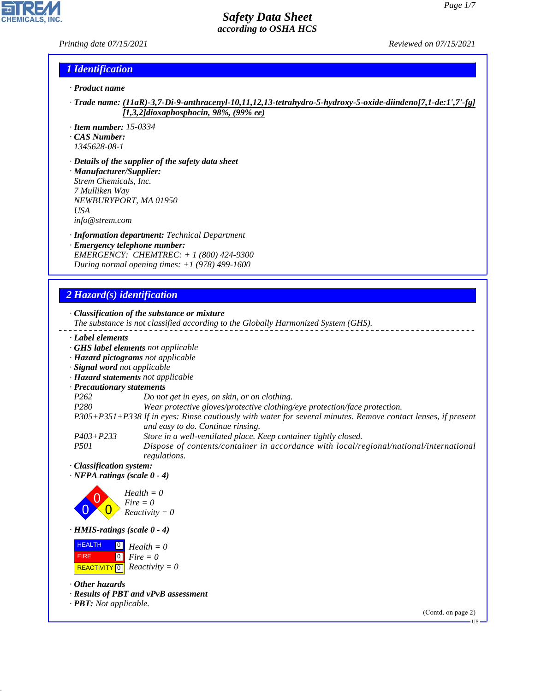#### *Printing date 07/15/2021 Reviewed on 07/15/2021*

P

**CHEMICALS, INC.** 

#### *1 Identification*

- *· Product name*
- *· Trade name: (11aR)-3,7-Di-9-anthracenyl-10,11,12,13-tetrahydro-5-hydroxy-5-oxide-diindeno[7,1-de:1',7'-fg] [1,3,2]dioxaphosphocin, 98%, (99% ee)*
- *· Item number: 15-0334*
- *· CAS Number:*
- *1345628-08-1*
- *· Details of the supplier of the safety data sheet · Manufacturer/Supplier: Strem Chemicals, Inc. 7 Mulliken Way NEWBURYPORT, MA 01950 USA info@strem.com*
- *· Information department: Technical Department · Emergency telephone number: EMERGENCY: CHEMTREC: + 1 (800) 424-9300 During normal opening times: +1 (978) 499-1600*

# *2 Hazard(s) identification*

44.1.1

|                                                                                                            | The substance is not classified according to the Globally Harmonized System (GHS).                                                                 |
|------------------------------------------------------------------------------------------------------------|----------------------------------------------------------------------------------------------------------------------------------------------------|
| Label elements                                                                                             |                                                                                                                                                    |
|                                                                                                            | GHS label elements not applicable                                                                                                                  |
|                                                                                                            | · Hazard pictograms not applicable                                                                                                                 |
| · Signal word not applicable                                                                               |                                                                                                                                                    |
|                                                                                                            | · Hazard statements not applicable                                                                                                                 |
| · Precautionary statements                                                                                 |                                                                                                                                                    |
| P <sub>262</sub>                                                                                           | Do not get in eyes, on skin, or on clothing.                                                                                                       |
| P <sub>280</sub>                                                                                           | Wear protective gloves/protective clothing/eye protection/face protection.                                                                         |
|                                                                                                            | P305+P351+P338 If in eyes: Rinse cautiously with water for several minutes. Remove contact lenses, if present<br>and easy to do. Continue rinsing. |
| $P403 + P233$                                                                                              | Store in a well-ventilated place. Keep container tightly closed.                                                                                   |
| <i>P501</i>                                                                                                | Dispose of contents/container in accordance with local/regional/national/international<br>regulations.                                             |
| · Classification system:                                                                                   |                                                                                                                                                    |
| $\cdot$ NFPA ratings (scale 0 - 4)                                                                         |                                                                                                                                                    |
|                                                                                                            | $Health = 0$<br>$Fire = 0$<br>$Reactivity = 0$                                                                                                     |
| $\cdot$ HMIS-ratings (scale 0 - 4)                                                                         |                                                                                                                                                    |
| <b>HEALTH</b><br>$\boxed{0}$<br><b>FIRE</b><br>$\boxed{0}$<br>REACTIVITY $\boxed{0}$ <i>Reactivity</i> = 0 | $Health = 0$<br>$Fire = 0$                                                                                                                         |
| $\cdot$ Other hazards                                                                                      |                                                                                                                                                    |
| $\cdot$ <b>PBT:</b> Not applicable.                                                                        | · Results of PBT and vPvB assessment                                                                                                               |
|                                                                                                            | (Contd. on page 2)                                                                                                                                 |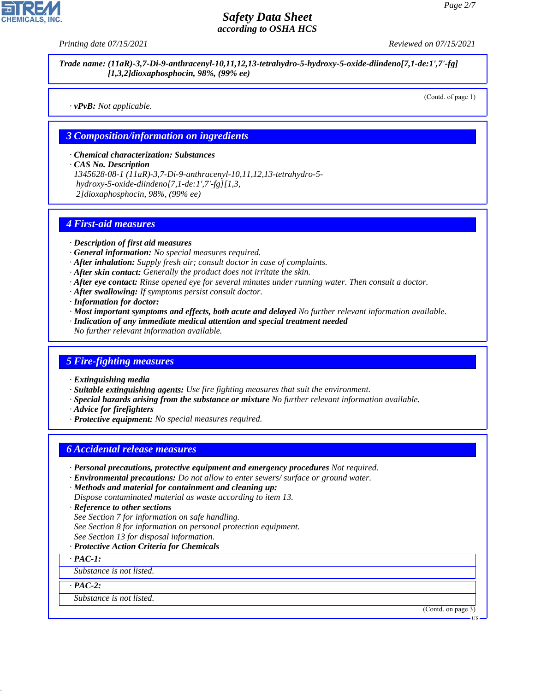*Printing date 07/15/2021 Reviewed on 07/15/2021*

*Trade name: (11aR)-3,7-Di-9-anthracenyl-10,11,12,13-tetrahydro-5-hydroxy-5-oxide-diindeno[7,1-de:1',7'-fg] [1,3,2]dioxaphosphocin, 98%, (99% ee)*

*· vPvB: Not applicable.*

(Contd. of page 1)

#### *3 Composition/information on ingredients*

*· Chemical characterization: Substances*

*· CAS No. Description*

*1345628-08-1 (11aR)-3,7-Di-9-anthracenyl-10,11,12,13-tetrahydro-5-*

 *hydroxy-5-oxide-diindeno[7,1-de:1',7'-fg][1,3,*

 *2]dioxaphosphocin, 98%, (99% ee)*

### *4 First-aid measures*

- *· Description of first aid measures*
- *· General information: No special measures required.*
- *· After inhalation: Supply fresh air; consult doctor in case of complaints.*
- *· After skin contact: Generally the product does not irritate the skin.*
- *· After eye contact: Rinse opened eye for several minutes under running water. Then consult a doctor.*
- *· After swallowing: If symptoms persist consult doctor.*
- *· Information for doctor:*
- *· Most important symptoms and effects, both acute and delayed No further relevant information available.*
- *· Indication of any immediate medical attention and special treatment needed*
- *No further relevant information available.*

#### *5 Fire-fighting measures*

- *· Extinguishing media*
- *· Suitable extinguishing agents: Use fire fighting measures that suit the environment.*
- *· Special hazards arising from the substance or mixture No further relevant information available.*
- *· Advice for firefighters*
- *· Protective equipment: No special measures required.*

#### *6 Accidental release measures*

- *· Personal precautions, protective equipment and emergency procedures Not required.*
- *· Environmental precautions: Do not allow to enter sewers/ surface or ground water.*
- *· Methods and material for containment and cleaning up: Dispose contaminated material as waste according to item 13.*
- *· Reference to other sections*
- *See Section 7 for information on safe handling.*
- *See Section 8 for information on personal protection equipment.*
- *See Section 13 for disposal information.*

#### *· Protective Action Criteria for Chemicals*

*· PAC-1:*

*Substance is not listed.*

*· PAC-2:*

44.1.1

*Substance is not listed.*

(Contd. on page 3)



US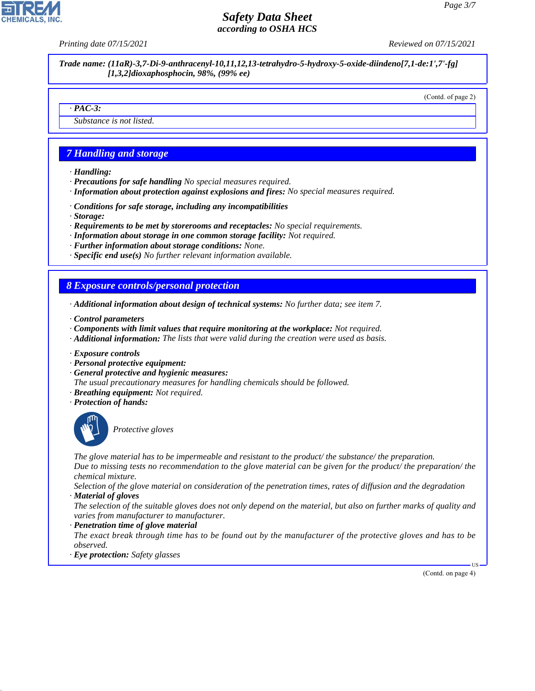*Printing date 07/15/2021 Reviewed on 07/15/2021*

*Trade name: (11aR)-3,7-Di-9-anthracenyl-10,11,12,13-tetrahydro-5-hydroxy-5-oxide-diindeno[7,1-de:1',7'-fg] [1,3,2]dioxaphosphocin, 98%, (99% ee)*

(Contd. of page 2)

#### *· PAC-3:*

*Substance is not listed.*

### *7 Handling and storage*

- *· Handling:*
- *· Precautions for safe handling No special measures required.*
- *· Information about protection against explosions and fires: No special measures required.*
- *· Conditions for safe storage, including any incompatibilities*
- *· Storage:*
- *· Requirements to be met by storerooms and receptacles: No special requirements.*
- *· Information about storage in one common storage facility: Not required.*
- *· Further information about storage conditions: None.*
- *· Specific end use(s) No further relevant information available.*

#### *8 Exposure controls/personal protection*

- *· Additional information about design of technical systems: No further data; see item 7.*
- *· Control parameters*
- *· Components with limit values that require monitoring at the workplace: Not required.*
- *· Additional information: The lists that were valid during the creation were used as basis.*
- *· Exposure controls*
- *· Personal protective equipment:*
- *· General protective and hygienic measures:*
- *The usual precautionary measures for handling chemicals should be followed.*
- *· Breathing equipment: Not required.*
- *· Protection of hands:*



44.1.1

\_S*Protective gloves*

*The glove material has to be impermeable and resistant to the product/ the substance/ the preparation.*

*Due to missing tests no recommendation to the glove material can be given for the product/ the preparation/ the chemical mixture.*

*Selection of the glove material on consideration of the penetration times, rates of diffusion and the degradation · Material of gloves*

*The selection of the suitable gloves does not only depend on the material, but also on further marks of quality and varies from manufacturer to manufacturer.*

*· Penetration time of glove material*

*The exact break through time has to be found out by the manufacturer of the protective gloves and has to be observed.*

*· Eye protection: Safety glasses*

(Contd. on page 4)

US

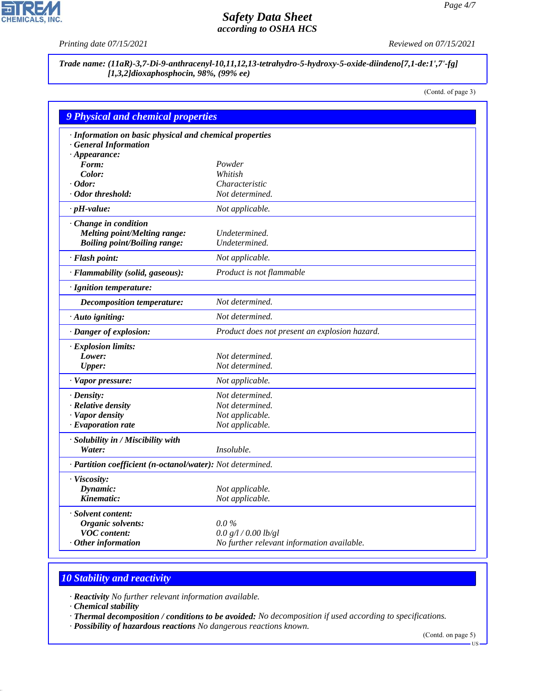P

**CHEMICALS, INC.** 

*Printing date 07/15/2021 Reviewed on 07/15/2021*

*Trade name: (11aR)-3,7-Di-9-anthracenyl-10,11,12,13-tetrahydro-5-hydroxy-5-oxide-diindeno[7,1-de:1',7'-fg] [1,3,2]dioxaphosphocin, 98%, (99% ee)*

(Contd. of page 3)

| <b>9 Physical and chemical properties</b>                  |                                               |
|------------------------------------------------------------|-----------------------------------------------|
| · Information on basic physical and chemical properties    |                                               |
| <b>General Information</b>                                 |                                               |
| $\cdot$ Appearance:                                        |                                               |
| Form:                                                      | Powder                                        |
| Color:                                                     | Whitish                                       |
| $\cdot$ Odor:                                              | Characteristic                                |
| · Odor threshold:                                          | Not determined.                               |
| $\cdot$ pH-value:                                          | Not applicable.                               |
| · Change in condition                                      |                                               |
| <b>Melting point/Melting range:</b>                        | Undetermined.                                 |
| <b>Boiling point/Boiling range:</b>                        | Undetermined.                                 |
| · Flash point:                                             | Not applicable.                               |
| · Flammability (solid, gaseous):                           | Product is not flammable                      |
| · Ignition temperature:                                    |                                               |
| <b>Decomposition temperature:</b>                          | Not determined.                               |
| · Auto igniting:                                           | Not determined.                               |
| · Danger of explosion:                                     | Product does not present an explosion hazard. |
| · Explosion limits:                                        |                                               |
| Lower:                                                     | Not determined.                               |
| <b>Upper:</b>                                              | Not determined.                               |
| $\cdot$ Vapor pressure:                                    | Not applicable.                               |
| $\cdot$ Density:                                           | Not determined.                               |
| · Relative density                                         | Not determined.                               |
| · Vapor density                                            | Not applicable.                               |
| $\cdot$ Evaporation rate                                   | Not applicable.                               |
| · Solubility in / Miscibility with                         |                                               |
| Water:                                                     | <i>Insoluble.</i>                             |
| · Partition coefficient (n-octanol/water): Not determined. |                                               |
| · Viscosity:                                               |                                               |
| Dynamic:                                                   | Not applicable.                               |
| Kinematic:                                                 | Not applicable.                               |
| · Solvent content:                                         |                                               |
| Organic solvents:                                          | $0.0\%$                                       |
| <b>VOC</b> content:                                        | 0.0 g/l / 0.00 lb/gl                          |
| $·$ Other information                                      | No further relevant information available.    |

# *10 Stability and reactivity*

*· Reactivity No further relevant information available.*

*· Chemical stability*

44.1.1

*· Thermal decomposition / conditions to be avoided: No decomposition if used according to specifications.*

*· Possibility of hazardous reactions No dangerous reactions known.*

(Contd. on page 5)

US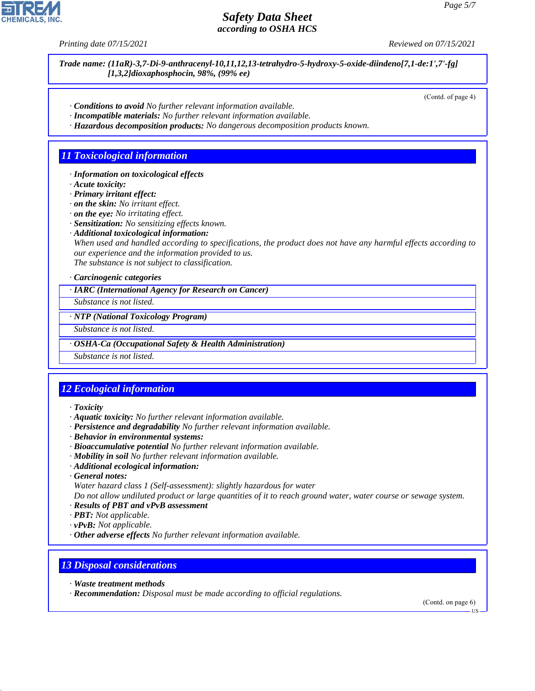

*Trade name: (11aR)-3,7-Di-9-anthracenyl-10,11,12,13-tetrahydro-5-hydroxy-5-oxide-diindeno[7,1-de:1',7'-fg] [1,3,2]dioxaphosphocin, 98%, (99% ee)*

(Contd. of page 4)

- *· Conditions to avoid No further relevant information available.*
- *· Incompatible materials: No further relevant information available.*
- *· Hazardous decomposition products: No dangerous decomposition products known.*

#### *11 Toxicological information*

- *· Information on toxicological effects*
- *· Acute toxicity:*
- *· Primary irritant effect:*
- *· on the skin: No irritant effect.*
- *· on the eye: No irritating effect.*
- *· Sensitization: No sensitizing effects known.*
- *· Additional toxicological information:*

*When used and handled according to specifications, the product does not have any harmful effects according to our experience and the information provided to us. The substance is not subject to classification.*

*· Carcinogenic categories*

*· IARC (International Agency for Research on Cancer)*

*Substance is not listed.*

*· NTP (National Toxicology Program)*

*Substance is not listed.*

*· OSHA-Ca (Occupational Safety & Health Administration)*

*Substance is not listed.*

### *12 Ecological information*

- *· Toxicity*
- *· Aquatic toxicity: No further relevant information available.*
- *· Persistence and degradability No further relevant information available.*
- *· Behavior in environmental systems:*
- *· Bioaccumulative potential No further relevant information available.*
- *· Mobility in soil No further relevant information available.*
- *· Additional ecological information:*
- *· General notes:*
- *Water hazard class 1 (Self-assessment): slightly hazardous for water*

*Do not allow undiluted product or large quantities of it to reach ground water, water course or sewage system. · Results of PBT and vPvB assessment*

- *· PBT: Not applicable.*
- *· vPvB: Not applicable.*
- *· Other adverse effects No further relevant information available.*

#### *13 Disposal considerations*

*· Waste treatment methods*

44.1.1

*· Recommendation: Disposal must be made according to official regulations.*

(Contd. on page 6)

US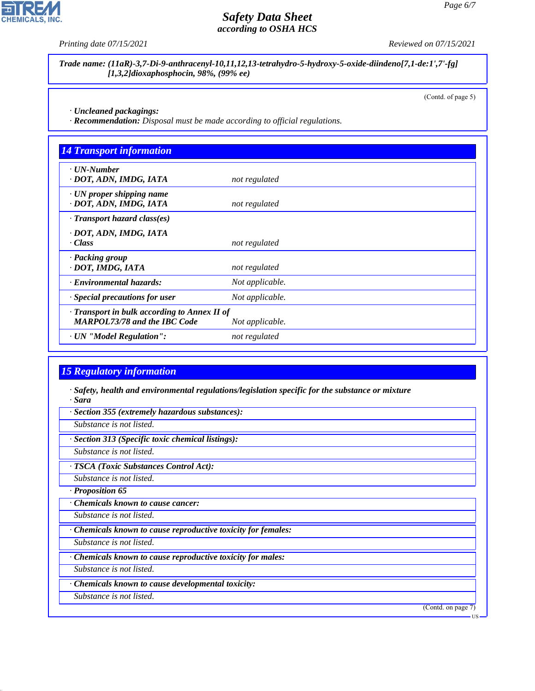*Printing date 07/15/2021 Reviewed on 07/15/2021*

*Trade name: (11aR)-3,7-Di-9-anthracenyl-10,11,12,13-tetrahydro-5-hydroxy-5-oxide-diindeno[7,1-de:1',7'-fg] [1,3,2]dioxaphosphocin, 98%, (99% ee)*

(Contd. of page 5)

*· Uncleaned packagings:*

*· Recommendation: Disposal must be made according to official regulations.*

| $\cdot$ UN-Number<br>· DOT, ADN, IMDG, IATA               | not regulated   |  |
|-----------------------------------------------------------|-----------------|--|
| $\cdot$ UN proper shipping name<br>· DOT, ADN, IMDG, IATA | not regulated   |  |
| · Transport hazard class(es)                              |                 |  |
| · DOT, ADN, IMDG, IATA                                    |                 |  |
| · Class                                                   | not regulated   |  |
| · Packing group                                           |                 |  |
| · DOT, IMDG, IATA                                         | not regulated   |  |
| · Environmental hazards:                                  | Not applicable. |  |
| Special precautions for user                              | Not applicable. |  |
| · Transport in bulk according to Annex II of              |                 |  |
| <b>MARPOL73/78 and the IBC Code</b>                       | Not applicable. |  |
| · UN "Model Regulation":                                  | not regulated   |  |

#### *15 Regulatory information*

*· Safety, health and environmental regulations/legislation specific for the substance or mixture · Sara*

*· Section 355 (extremely hazardous substances):*

*Substance is not listed.*

*· Section 313 (Specific toxic chemical listings):*

*Substance is not listed.*

*· TSCA (Toxic Substances Control Act):*

*Substance is not listed.*

*· Proposition 65*

*· Chemicals known to cause cancer:*

*Substance is not listed.*

*· Chemicals known to cause reproductive toxicity for females:*

*Substance is not listed.*

*· Chemicals known to cause reproductive toxicity for males:*

*Substance is not listed.*

*· Chemicals known to cause developmental toxicity:*

*Substance is not listed.*

44.1.1

(Contd. on page 7)



US